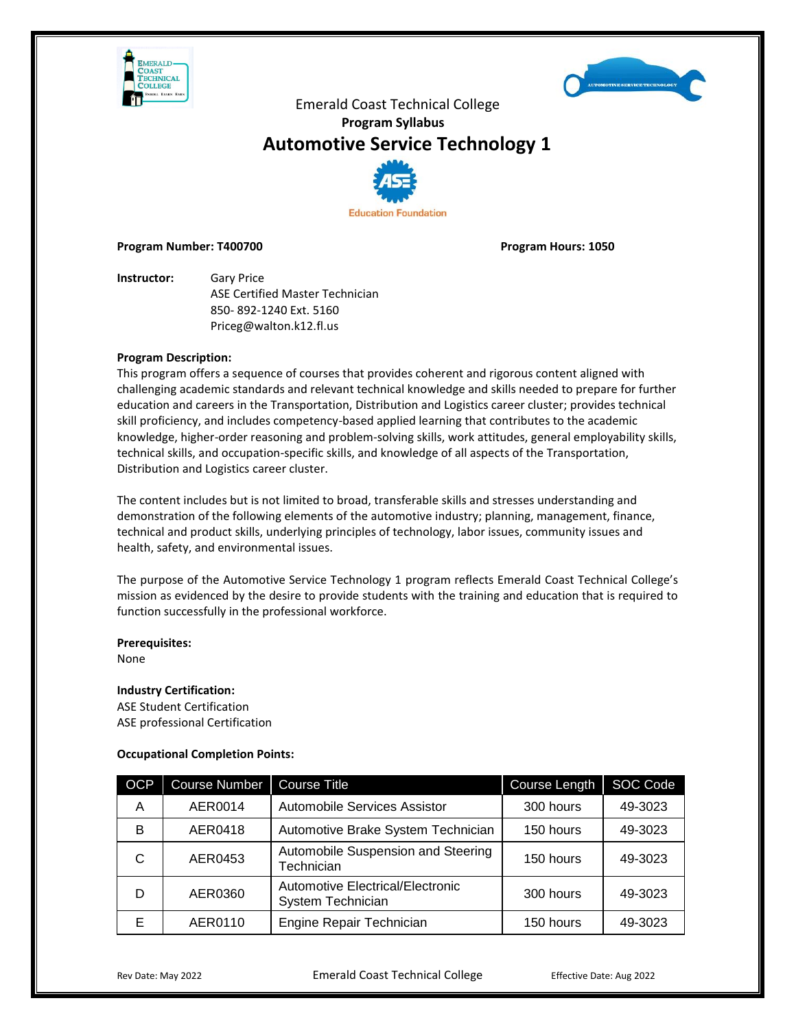



# **Automotive Service Technology 1**



#### **Program Number: T400700 Program Hours: 1050**

**Instructor:** Gary Price ASE Certified Master Technician 850- 892-1240 Ext. 5160 Priceg@walton.k12.fl.us

# **Program Description:**

This program offers a sequence of courses that provides coherent and rigorous content aligned with challenging academic standards and relevant technical knowledge and skills needed to prepare for further education and careers in the Transportation, Distribution and Logistics career cluster; provides technical skill proficiency, and includes competency-based applied learning that contributes to the academic knowledge, higher-order reasoning and problem-solving skills, work attitudes, general employability skills, technical skills, and occupation-specific skills, and knowledge of all aspects of the Transportation, Distribution and Logistics career cluster.

The content includes but is not limited to broad, transferable skills and stresses understanding and demonstration of the following elements of the automotive industry; planning, management, finance, technical and product skills, underlying principles of technology, labor issues, community issues and health, safety, and environmental issues.

The purpose of the Automotive Service Technology 1 program reflects Emerald Coast Technical College's mission as evidenced by the desire to provide students with the training and education that is required to function successfully in the professional workforce.

# **Prerequisites:**

None

# **Industry Certification:**

ASE Student Certification ASE professional Certification

# **Occupational Completion Points:**

| <b>OCP</b> | <b>Course Number</b> | <b>Course Title</b>                                   | Course Length | SOC Code |
|------------|----------------------|-------------------------------------------------------|---------------|----------|
| A          | AER0014              | <b>Automobile Services Assistor</b>                   | 300 hours     | 49-3023  |
| B          | AER0418              | Automotive Brake System Technician                    | 150 hours     | 49-3023  |
| C          | AER0453              | Automobile Suspension and Steering<br>Technician      | 150 hours     | 49-3023  |
| D          | AER0360              | Automotive Electrical/Electronic<br>System Technician | 300 hours     | 49-3023  |
| Е          | AER0110              | Engine Repair Technician                              | 150 hours     | 49-3023  |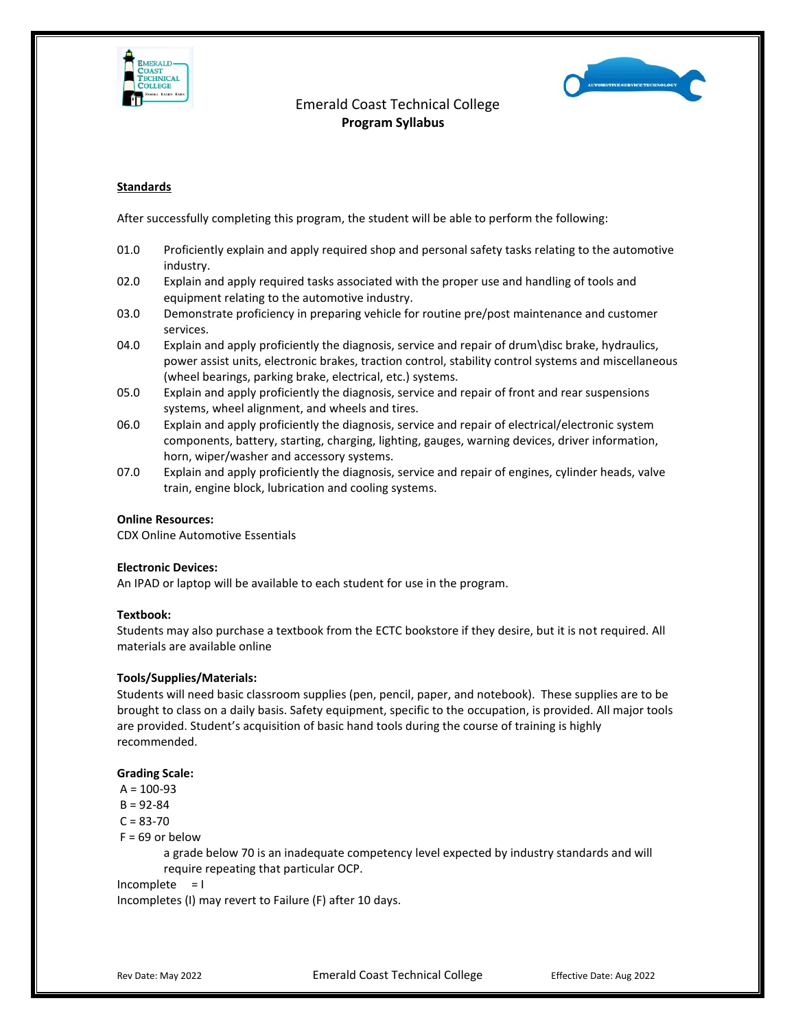



# **Standards**

After successfully completing this program, the student will be able to perform the following:

- 01.0 Proficiently explain and apply required shop and personal safety tasks relating to the automotive industry.
- 02.0 Explain and apply required tasks associated with the proper use and handling of tools and equipment relating to the automotive industry.
- 03.0 Demonstrate proficiency in preparing vehicle for routine pre/post maintenance and customer services.
- 04.0 Explain and apply proficiently the diagnosis, service and repair of drum\disc brake, hydraulics, power assist units, electronic brakes, traction control, stability control systems and miscellaneous (wheel bearings, parking brake, electrical, etc.) systems.
- 05.0 Explain and apply proficiently the diagnosis, service and repair of front and rear suspensions systems, wheel alignment, and wheels and tires.
- 06.0 Explain and apply proficiently the diagnosis, service and repair of electrical/electronic system components, battery, starting, charging, lighting, gauges, warning devices, driver information, horn, wiper/washer and accessory systems.
- 07.0 Explain and apply proficiently the diagnosis, service and repair of engines, cylinder heads, valve train, engine block, lubrication and cooling systems.

# **Online Resources:**

CDX Online Automotive Essentials

#### **Electronic Devices:**

An IPAD or laptop will be available to each student for use in the program.

# **Textbook:**

Students may also purchase a textbook from the ECTC bookstore if they desire, but it is not required. All materials are available online

# **Tools/Supplies/Materials:**

Students will need basic classroom supplies (pen, pencil, paper, and notebook). These supplies are to be brought to class on a daily basis. Safety equipment, specific to the occupation, is provided. All major tools are provided. Student's acquisition of basic hand tools during the course of training is highly recommended.

#### **Grading Scale:**

 $A = 100 - 93$ 

 $B = 92 - 84$ 

 $C = 83 - 70$ 

 $F = 69$  or below

a grade below 70 is an inadequate competency level expected by industry standards and will require repeating that particular OCP.

```
Incomplete = IIncompletes (I) may revert to Failure (F) after 10 days.
```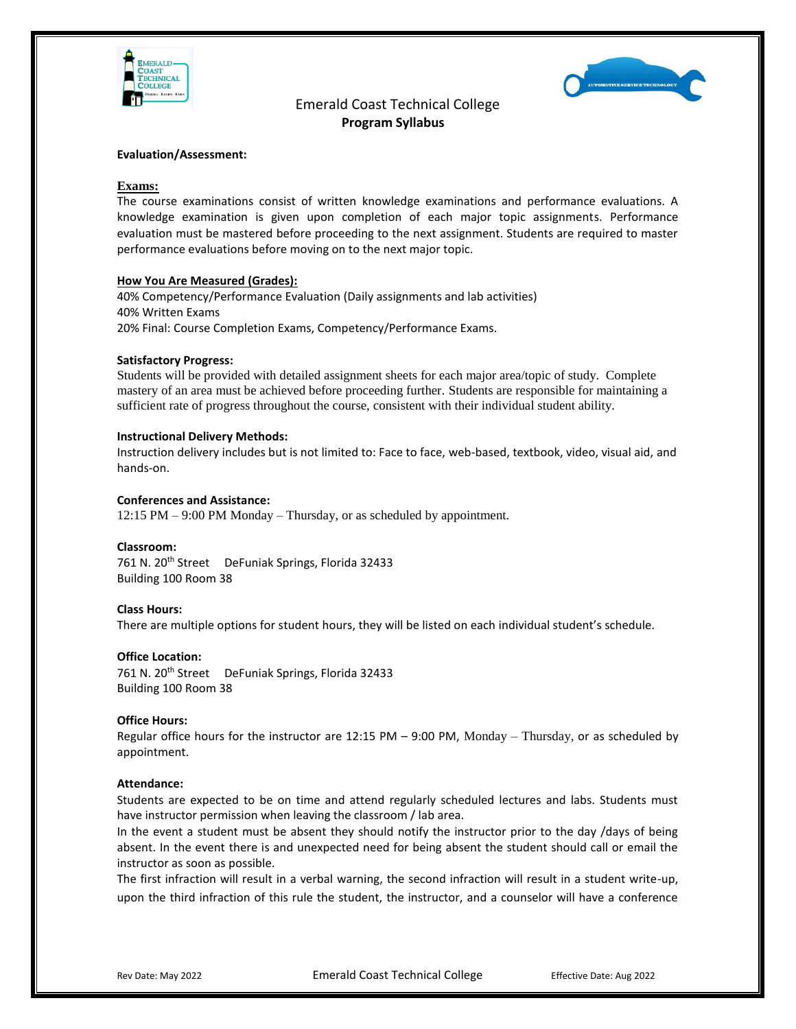



### **Evaluation/Assessment:**

### **Exams:**

The course examinations consist of written knowledge examinations and performance evaluations. A knowledge examination is given upon completion of each major topic assignments. Performance evaluation must be mastered before proceeding to the next assignment. Students are required to master performance evaluations before moving on to the next major topic.

#### **How You Are Measured (Grades):**

40% Competency/Performance Evaluation (Daily assignments and lab activities) 40% Written Exams 20% Final: Course Completion Exams, Competency/Performance Exams.

#### **Satisfactory Progress:**

Students will be provided with detailed assignment sheets for each major area/topic of study. Complete mastery of an area must be achieved before proceeding further. Students are responsible for maintaining a sufficient rate of progress throughout the course, consistent with their individual student ability.

#### **Instructional Delivery Methods:**

Instruction delivery includes but is not limited to: Face to face, web-based, textbook, video, visual aid, and hands-on.

### **Conferences and Assistance:**

12:15 PM – 9:00 PM Monday – Thursday, or as scheduled by appointment.

#### **Classroom:**

761 N. 20<sup>th</sup> Street DeFuniak Springs, Florida 32433 Building 100 Room 38

#### **Class Hours:**

There are multiple options for student hours, they will be listed on each individual student's schedule.

# **Office Location:**

761 N. 20<sup>th</sup> Street DeFuniak Springs, Florida 32433 Building 100 Room 38

#### **Office Hours:**

Regular office hours for the instructor are 12:15 PM  $-$  9:00 PM, Monday  $-$  Thursday, or as scheduled by appointment.

#### **Attendance:**

Students are expected to be on time and attend regularly scheduled lectures and labs. Students must have instructor permission when leaving the classroom / lab area.

In the event a student must be absent they should notify the instructor prior to the day /days of being absent. In the event there is and unexpected need for being absent the student should call or email the instructor as soon as possible.

The first infraction will result in a verbal warning, the second infraction will result in a student write-up, upon the third infraction of this rule the student, the instructor, and a counselor will have a conference